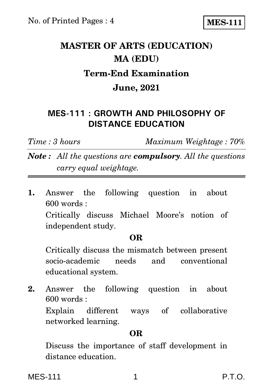**MES-111**

# **MASTER OF ARTS (EDUCATION) MA (EDU) Term-End Examination June, 2021**

## **MES-111 : GROWTH AND PHILOSOPHY OF DISTANCE EDUCATION**

*Time : 3 hours Maximum Weightage : 70%*

*Note : All the questions are compulsory. All the questions carry equal weightage.*

**1.** Answer the following question in about 600 words :

Critically discuss Michael Moore's notion of independent study.

### **OR**

Critically discuss the mismatch between present socio-academic needs and conventional educational system.

**2.** Answer the following question in about 600 words :

Explain different ways of collaborative networked learning.

#### **OR**

Discuss the importance of staff development in distance education.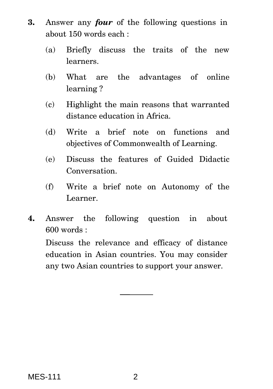- **3.** Answer any *four* of the following questions in about 150 words each :
	- (a) Briefly discuss the traits of the new learners.
	- (b) What are the advantages of online learning ?
	- (c) Highlight the main reasons that warranted distance education in Africa.
	- (d) Write a brief note on functions and objectives of Commonwealth of Learning.
	- (e) Discuss the features of Guided Didactic Conversation.
	- (f) Write a brief note on Autonomy of the Learner.
- **4.** Answer the following question in about 600 words :

Discuss the relevance and efficacy of distance education in Asian countries. You may consider any two Asian countries to support your answer.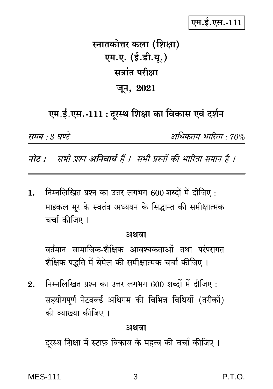## एम.ई.एस.-111

# स्नातकोत्तर कला (शिक्षा) एम.ए. (ई.डी.यू.) सत्रांत परीक्षा जून, 2021

# एम.ई.एस.-111 : दूरस्थ शिक्षा का विकास एवं दर्शन

समय : 3 घण्टे

अधिकतम भारिता · 70%

नोट : सभी प्रश्न अनिवार्य हैं । सभी प्रश्नों की भारिता समान है ।

निम्नलिखित प्रश्न का उत्तर लगभग 600 शब्दों में दीजिए :  $\mathbf{1}$ . माइकल मूर के स्वतंत्र अध्ययन के सिद्धान्त की समीक्षात्मक चर्चा कीजिए ।

#### अथवा

वर्तमान सामाजिक-शैक्षिक आवश्यकताओं तथा परंपरागत शैक्षिक पद्धति में बेमेल की समीक्षात्मक चर्चा कीजिए ।

निम्नलिखित प्रश्न का उत्तर लगभग 600 शब्दों में दीजिए :  $2.$ सहयोगपूर्ण नेटवर्क्ड अधिगम की विभिन्न विधियों (तरीकों) की व्याख्या कीजिए ।

#### अथवा

दुरस्थ शिक्षा में स्टाफ़ विकास के महत्त्व की चर्चा कीजिए ।